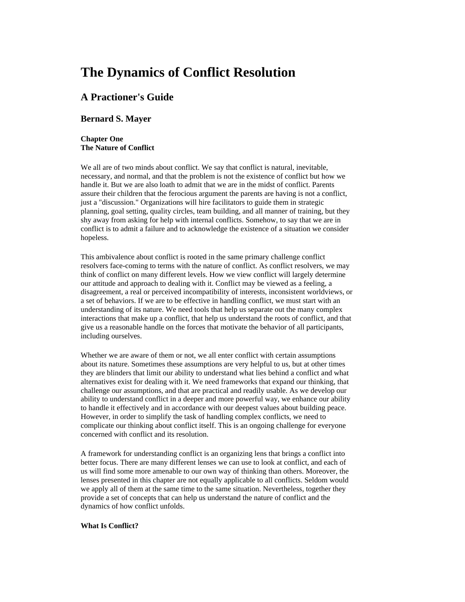# **The Dynamics of Conflict Resolution**

# **A Practioner's Guide**

# **Bernard S. Mayer**

# **Chapter One The Nature of Conflict**

We all are of two minds about conflict. We say that conflict is natural, inevitable, necessary, and normal, and that the problem is not the existence of conflict but how we handle it. But we are also loath to admit that we are in the midst of conflict. Parents assure their children that the ferocious argument the parents are having is not a conflict, just a "discussion." Organizations will hire facilitators to guide them in strategic planning, goal setting, quality circles, team building, and all manner of training, but they shy away from asking for help with internal conflicts. Somehow, to say that we are in conflict is to admit a failure and to acknowledge the existence of a situation we consider hopeless.

This ambivalence about conflict is rooted in the same primary challenge conflict resolvers face-coming to terms with the nature of conflict. As conflict resolvers, we may think of conflict on many different levels. How we view conflict will largely determine our attitude and approach to dealing with it. Conflict may be viewed as a feeling, a disagreement, a real or perceived incompatibility of interests, inconsistent worldviews, or a set of behaviors. If we are to be effective in handling conflict, we must start with an understanding of its nature. We need tools that help us separate out the many complex interactions that make up a conflict, that help us understand the roots of conflict, and that give us a reasonable handle on the forces that motivate the behavior of all participants, including ourselves.

Whether we are aware of them or not, we all enter conflict with certain assumptions about its nature. Sometimes these assumptions are very helpful to us, but at other times they are blinders that limit our ability to understand what lies behind a conflict and what alternatives exist for dealing with it. We need frameworks that expand our thinking, that challenge our assumptions, and that are practical and readily usable. As we develop our ability to understand conflict in a deeper and more powerful way, we enhance our ability to handle it effectively and in accordance with our deepest values about building peace. However, in order to simplify the task of handling complex conflicts, we need to complicate our thinking about conflict itself. This is an ongoing challenge for everyone concerned with conflict and its resolution.

A framework for understanding conflict is an organizing lens that brings a conflict into better focus. There are many different lenses we can use to look at conflict, and each of us will find some more amenable to our own way of thinking than others. Moreover, the lenses presented in this chapter are not equally applicable to all conflicts. Seldom would we apply all of them at the same time to the same situation. Nevertheless, together they provide a set of concepts that can help us understand the nature of conflict and the dynamics of how conflict unfolds.

#### **What Is Conflict?**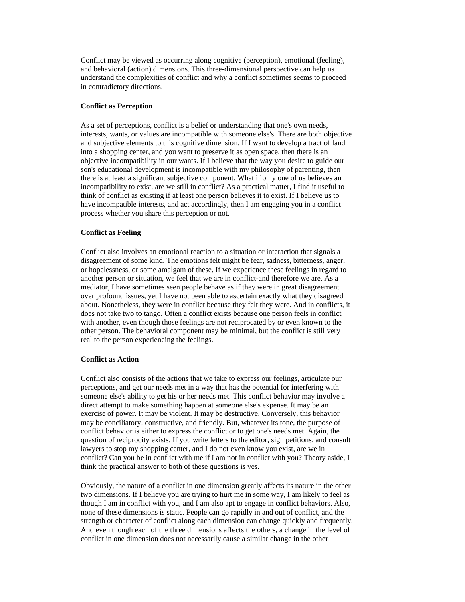Conflict may be viewed as occurring along cognitive (perception), emotional (feeling), and behavioral (action) dimensions. This three-dimensional perspective can help us understand the complexities of conflict and why a conflict sometimes seems to proceed in contradictory directions.

#### **Conflict as Perception**

As a set of perceptions, conflict is a belief or understanding that one's own needs, interests, wants, or values are incompatible with someone else's. There are both objective and subjective elements to this cognitive dimension. If I want to develop a tract of land into a shopping center, and you want to preserve it as open space, then there is an objective incompatibility in our wants. If I believe that the way you desire to guide our son's educational development is incompatible with my philosophy of parenting, then there is at least a significant subjective component. What if only one of us believes an incompatibility to exist, are we still in conflict? As a practical matter, I find it useful to think of conflict as existing if at least one person believes it to exist. If I believe us to have incompatible interests, and act accordingly, then I am engaging you in a conflict process whether you share this perception or not.

#### **Conflict as Feeling**

Conflict also involves an emotional reaction to a situation or interaction that signals a disagreement of some kind. The emotions felt might be fear, sadness, bitterness, anger, or hopelessness, or some amalgam of these. If we experience these feelings in regard to another person or situation, we feel that we are in conflict-and therefore we are. As a mediator, I have sometimes seen people behave as if they were in great disagreement over profound issues, yet I have not been able to ascertain exactly what they disagreed about. Nonetheless, they were in conflict because they felt they were. And in conflicts, it does not take two to tango. Often a conflict exists because one person feels in conflict with another, even though those feelings are not reciprocated by or even known to the other person. The behavioral component may be minimal, but the conflict is still very real to the person experiencing the feelings.

#### **Conflict as Action**

Conflict also consists of the actions that we take to express our feelings, articulate our perceptions, and get our needs met in a way that has the potential for interfering with someone else's ability to get his or her needs met. This conflict behavior may involve a direct attempt to make something happen at someone else's expense. It may be an exercise of power. It may be violent. It may be destructive. Conversely, this behavior may be conciliatory, constructive, and friendly. But, whatever its tone, the purpose of conflict behavior is either to express the conflict or to get one's needs met. Again, the question of reciprocity exists. If you write letters to the editor, sign petitions, and consult lawyers to stop my shopping center, and I do not even know you exist, are we in conflict? Can you be in conflict with me if I am not in conflict with you? Theory aside, I think the practical answer to both of these questions is yes.

Obviously, the nature of a conflict in one dimension greatly affects its nature in the other two dimensions. If I believe you are trying to hurt me in some way, I am likely to feel as though I am in conflict with you, and I am also apt to engage in conflict behaviors. Also, none of these dimensions is static. People can go rapidly in and out of conflict, and the strength or character of conflict along each dimension can change quickly and frequently. And even though each of the three dimensions affects the others, a change in the level of conflict in one dimension does not necessarily cause a similar change in the other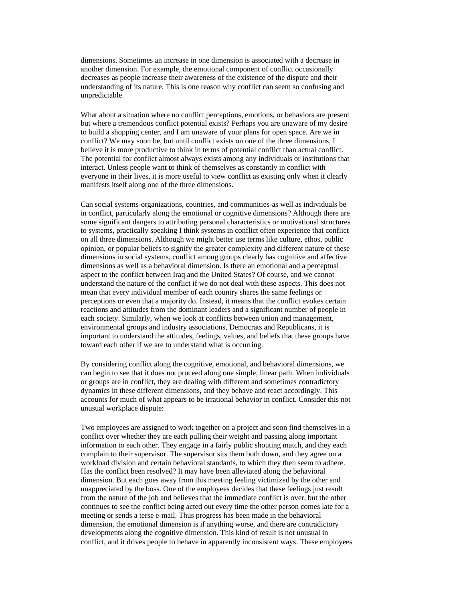dimensions. Sometimes an increase in one dimension is associated with a decrease in another dimension. For example, the emotional component of conflict occasionally decreases as people increase their awareness of the existence of the dispute and their understanding of its nature. This is one reason why conflict can seem so confusing and unpredictable.

What about a situation where no conflict perceptions, emotions, or behaviors are present but where a tremendous conflict potential exists? Perhaps you are unaware of my desire to build a shopping center, and I am unaware of your plans for open space. Are we in conflict? We may soon be, but until conflict exists on one of the three dimensions, I believe it is more productive to think in terms of potential conflict than actual conflict. The potential for conflict almost always exists among any individuals or institutions that interact. Unless people want to think of themselves as constantly in conflict with everyone in their lives, it is more useful to view conflict as existing only when it clearly manifests itself along one of the three dimensions.

Can social systems-organizations, countries, and communities-as well as individuals be in conflict, particularly along the emotional or cognitive dimensions? Although there are some significant dangers to attributing personal characteristics or motivational structures to systems, practically speaking I think systems in conflict often experience that conflict on all three dimensions. Although we might better use terms like culture, ethos, public opinion, or popular beliefs to signify the greater complexity and different nature of these dimensions in social systems, conflict among groups clearly has cognitive and affective dimensions as well as a behavioral dimension. Is there an emotional and a perceptual aspect to the conflict between Iraq and the United States? Of course, and we cannot understand the nature of the conflict if we do not deal with these aspects. This does not mean that every individual member of each country shares the same feelings or perceptions or even that a majority do. Instead, it means that the conflict evokes certain reactions and attitudes from the dominant leaders and a significant number of people in each society. Similarly, when we look at conflicts between union and management, environmental groups and industry associations, Democrats and Republicans, it is important to understand the attitudes, feelings, values, and beliefs that these groups have toward each other if we are to understand what is occurring.

By considering conflict along the cognitive, emotional, and behavioral dimensions, we can begin to see that it does not proceed along one simple, linear path. When individuals or groups are in conflict, they are dealing with different and sometimes contradictory dynamics in these different dimensions, and they behave and react accordingly. This accounts for much of what appears to be irrational behavior in conflict. Consider this not unusual workplace dispute:

Two employees are assigned to work together on a project and soon find themselves in a conflict over whether they are each pulling their weight and passing along important information to each other. They engage in a fairly public shouting match, and they each complain to their supervisor. The supervisor sits them both down, and they agree on a workload division and certain behavioral standards, to which they then seem to adhere. Has the conflict been resolved? It may have been alleviated along the behavioral dimension. But each goes away from this meeting feeling victimized by the other and unappreciated by the boss. One of the employees decides that these feelings just result from the nature of the job and believes that the immediate conflict is over, but the other continues to see the conflict being acted out every time the other person comes late for a meeting or sends a terse e-mail. Thus progress has been made in the behavioral dimension, the emotional dimension is if anything worse, and there are contradictory developments along the cognitive dimension. This kind of result is not unusual in conflict, and it drives people to behave in apparently inconsistent ways. These employees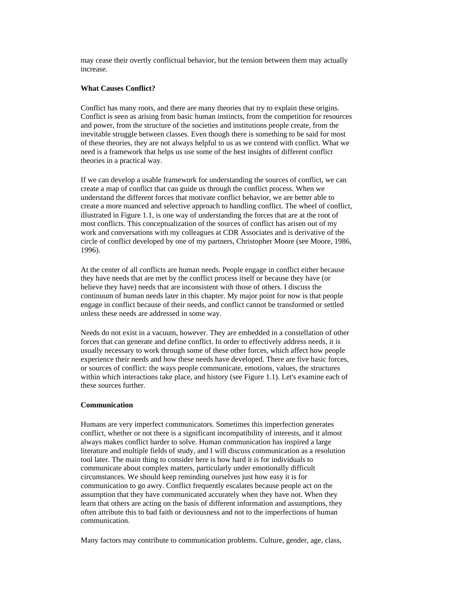may cease their overtly conflictual behavior, but the tension between them may actually increase.

#### **What Causes Conflict?**

Conflict has many roots, and there are many theories that try to explain these origins. Conflict is seen as arising from basic human instincts, from the competition for resources and power, from the structure of the societies and institutions people create, from the inevitable struggle between classes. Even though there is something to be said for most of these theories, they are not always helpful to us as we contend with conflict. What we need is a framework that helps us use some of the best insights of different conflict theories in a practical way.

If we can develop a usable framework for understanding the sources of conflict, we can create a map of conflict that can guide us through the conflict process. When we understand the different forces that motivate conflict behavior, we are better able to create a more nuanced and selective approach to handling conflict. The wheel of conflict, illustrated in Figure 1.1, is one way of understanding the forces that are at the root of most conflicts. This conceptualization of the sources of conflict has arisen out of my work and conversations with my colleagues at CDR Associates and is derivative of the circle of conflict developed by one of my partners, Christopher Moore (see Moore, 1986, 1996).

At the center of all conflicts are human needs. People engage in conflict either because they have needs that are met by the conflict process itself or because they have (or believe they have) needs that are inconsistent with those of others. I discuss the continuum of human needs later in this chapter. My major point for now is that people engage in conflict because of their needs, and conflict cannot be transformed or settled unless these needs are addressed in some way.

Needs do not exist in a vacuum, however. They are embedded in a constellation of other forces that can generate and define conflict. In order to effectively address needs, it is usually necessary to work through some of these other forces, which affect how people experience their needs and how these needs have developed. There are five basic forces, or sources of conflict: the ways people communicate, emotions, values, the structures within which interactions take place, and history (see Figure 1.1). Let's examine each of these sources further.

#### **Communication**

Humans are very imperfect communicators. Sometimes this imperfection generates conflict, whether or not there is a significant incompatibility of interests, and it almost always makes conflict harder to solve. Human communication has inspired a large literature and multiple fields of study, and I will discuss communication as a resolution tool later. The main thing to consider here is how hard it is for individuals to communicate about complex matters, particularly under emotionally difficult circumstances. We should keep reminding ourselves just how easy it is for communication to go awry. Conflict frequently escalates because people act on the assumption that they have communicated accurately when they have not. When they learn that others are acting on the basis of different information and assumptions, they often attribute this to bad faith or deviousness and not to the imperfections of human communication.

Many factors may contribute to communication problems. Culture, gender, age, class,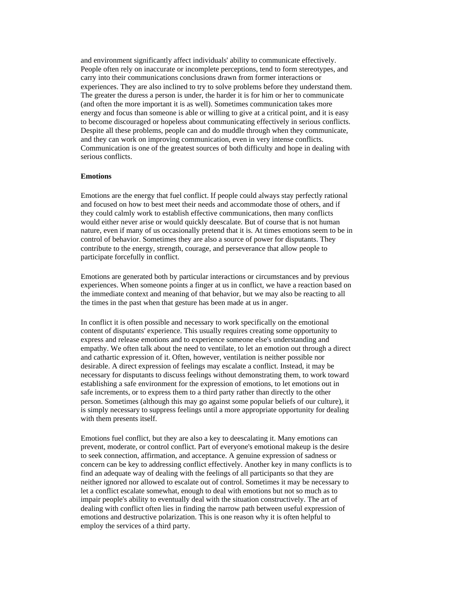and environment significantly affect individuals' ability to communicate effectively. People often rely on inaccurate or incomplete perceptions, tend to form stereotypes, and carry into their communications conclusions drawn from former interactions or experiences. They are also inclined to try to solve problems before they understand them. The greater the duress a person is under, the harder it is for him or her to communicate (and often the more important it is as well). Sometimes communication takes more energy and focus than someone is able or willing to give at a critical point, and it is easy to become discouraged or hopeless about communicating effectively in serious conflicts. Despite all these problems, people can and do muddle through when they communicate, and they can work on improving communication, even in very intense conflicts. Communication is one of the greatest sources of both difficulty and hope in dealing with serious conflicts.

#### **Emotions**

Emotions are the energy that fuel conflict. If people could always stay perfectly rational and focused on how to best meet their needs and accommodate those of others, and if they could calmly work to establish effective communications, then many conflicts would either never arise or would quickly deescalate. But of course that is not human nature, even if many of us occasionally pretend that it is. At times emotions seem to be in control of behavior. Sometimes they are also a source of power for disputants. They contribute to the energy, strength, courage, and perseverance that allow people to participate forcefully in conflict.

Emotions are generated both by particular interactions or circumstances and by previous experiences. When someone points a finger at us in conflict, we have a reaction based on the immediate context and meaning of that behavior, but we may also be reacting to all the times in the past when that gesture has been made at us in anger.

In conflict it is often possible and necessary to work specifically on the emotional content of disputants' experience. This usually requires creating some opportunity to express and release emotions and to experience someone else's understanding and empathy. We often talk about the need to ventilate, to let an emotion out through a direct and cathartic expression of it. Often, however, ventilation is neither possible nor desirable. A direct expression of feelings may escalate a conflict. Instead, it may be necessary for disputants to discuss feelings without demonstrating them, to work toward establishing a safe environment for the expression of emotions, to let emotions out in safe increments, or to express them to a third party rather than directly to the other person. Sometimes (although this may go against some popular beliefs of our culture), it is simply necessary to suppress feelings until a more appropriate opportunity for dealing with them presents itself.

Emotions fuel conflict, but they are also a key to deescalating it. Many emotions can prevent, moderate, or control conflict. Part of everyone's emotional makeup is the desire to seek connection, affirmation, and acceptance. A genuine expression of sadness or concern can be key to addressing conflict effectively. Another key in many conflicts is to find an adequate way of dealing with the feelings of all participants so that they are neither ignored nor allowed to escalate out of control. Sometimes it may be necessary to let a conflict escalate somewhat, enough to deal with emotions but not so much as to impair people's ability to eventually deal with the situation constructively. The art of dealing with conflict often lies in finding the narrow path between useful expression of emotions and destructive polarization. This is one reason why it is often helpful to employ the services of a third party.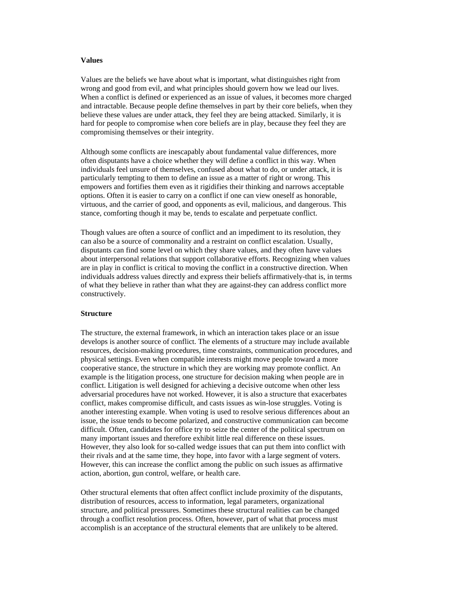#### **Values**

Values are the beliefs we have about what is important, what distinguishes right from wrong and good from evil, and what principles should govern how we lead our lives. When a conflict is defined or experienced as an issue of values, it becomes more charged and intractable. Because people define themselves in part by their core beliefs, when they believe these values are under attack, they feel they are being attacked. Similarly, it is hard for people to compromise when core beliefs are in play, because they feel they are compromising themselves or their integrity.

Although some conflicts are inescapably about fundamental value differences, more often disputants have a choice whether they will define a conflict in this way. When individuals feel unsure of themselves, confused about what to do, or under attack, it is particularly tempting to them to define an issue as a matter of right or wrong. This empowers and fortifies them even as it rigidifies their thinking and narrows acceptable options. Often it is easier to carry on a conflict if one can view oneself as honorable, virtuous, and the carrier of good, and opponents as evil, malicious, and dangerous. This stance, comforting though it may be, tends to escalate and perpetuate conflict.

Though values are often a source of conflict and an impediment to its resolution, they can also be a source of commonality and a restraint on conflict escalation. Usually, disputants can find some level on which they share values, and they often have values about interpersonal relations that support collaborative efforts. Recognizing when values are in play in conflict is critical to moving the conflict in a constructive direction. When individuals address values directly and express their beliefs affirmatively-that is, in terms of what they believe in rather than what they are against-they can address conflict more constructively.

#### **Structure**

The structure, the external framework, in which an interaction takes place or an issue develops is another source of conflict. The elements of a structure may include available resources, decision-making procedures, time constraints, communication procedures, and physical settings. Even when compatible interests might move people toward a more cooperative stance, the structure in which they are working may promote conflict. An example is the litigation process, one structure for decision making when people are in conflict. Litigation is well designed for achieving a decisive outcome when other less adversarial procedures have not worked. However, it is also a structure that exacerbates conflict, makes compromise difficult, and casts issues as win-lose struggles. Voting is another interesting example. When voting is used to resolve serious differences about an issue, the issue tends to become polarized, and constructive communication can become difficult. Often, candidates for office try to seize the center of the political spectrum on many important issues and therefore exhibit little real difference on these issues. However, they also look for so-called wedge issues that can put them into conflict with their rivals and at the same time, they hope, into favor with a large segment of voters. However, this can increase the conflict among the public on such issues as affirmative action, abortion, gun control, welfare, or health care.

Other structural elements that often affect conflict include proximity of the disputants, distribution of resources, access to information, legal parameters, organizational structure, and political pressures. Sometimes these structural realities can be changed through a conflict resolution process. Often, however, part of what that process must accomplish is an acceptance of the structural elements that are unlikely to be altered.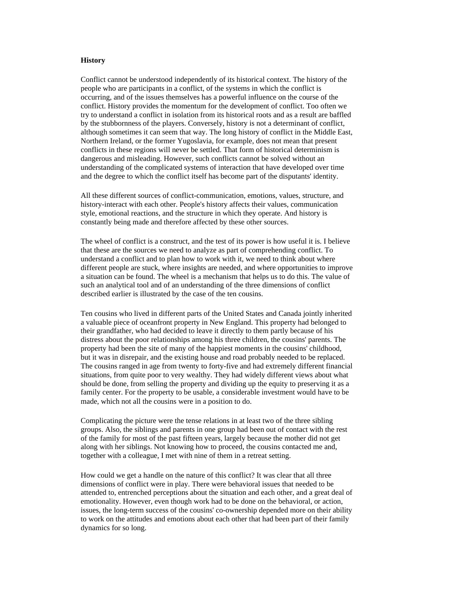#### **History**

Conflict cannot be understood independently of its historical context. The history of the people who are participants in a conflict, of the systems in which the conflict is occurring, and of the issues themselves has a powerful influence on the course of the conflict. History provides the momentum for the development of conflict. Too often we try to understand a conflict in isolation from its historical roots and as a result are baffled by the stubbornness of the players. Conversely, history is not a determinant of conflict, although sometimes it can seem that way. The long history of conflict in the Middle East, Northern Ireland, or the former Yugoslavia, for example, does not mean that present conflicts in these regions will never be settled. That form of historical determinism is dangerous and misleading. However, such conflicts cannot be solved without an understanding of the complicated systems of interaction that have developed over time and the degree to which the conflict itself has become part of the disputants' identity.

All these different sources of conflict-communication, emotions, values, structure, and history-interact with each other. People's history affects their values, communication style, emotional reactions, and the structure in which they operate. And history is constantly being made and therefore affected by these other sources.

The wheel of conflict is a construct, and the test of its power is how useful it is. I believe that these are the sources we need to analyze as part of comprehending conflict. To understand a conflict and to plan how to work with it, we need to think about where different people are stuck, where insights are needed, and where opportunities to improve a situation can be found. The wheel is a mechanism that helps us to do this. The value of such an analytical tool and of an understanding of the three dimensions of conflict described earlier is illustrated by the case of the ten cousins.

Ten cousins who lived in different parts of the United States and Canada jointly inherited a valuable piece of oceanfront property in New England. This property had belonged to their grandfather, who had decided to leave it directly to them partly because of his distress about the poor relationships among his three children, the cousins' parents. The property had been the site of many of the happiest moments in the cousins' childhood, but it was in disrepair, and the existing house and road probably needed to be replaced. The cousins ranged in age from twenty to forty-five and had extremely different financial situations, from quite poor to very wealthy. They had widely different views about what should be done, from selling the property and dividing up the equity to preserving it as a family center. For the property to be usable, a considerable investment would have to be made, which not all the cousins were in a position to do.

Complicating the picture were the tense relations in at least two of the three sibling groups. Also, the siblings and parents in one group had been out of contact with the rest of the family for most of the past fifteen years, largely because the mother did not get along with her siblings. Not knowing how to proceed, the cousins contacted me and, together with a colleague, I met with nine of them in a retreat setting.

How could we get a handle on the nature of this conflict? It was clear that all three dimensions of conflict were in play. There were behavioral issues that needed to be attended to, entrenched perceptions about the situation and each other, and a great deal of emotionality. However, even though work had to be done on the behavioral, or action, issues, the long-term success of the cousins' co-ownership depended more on their ability to work on the attitudes and emotions about each other that had been part of their family dynamics for so long.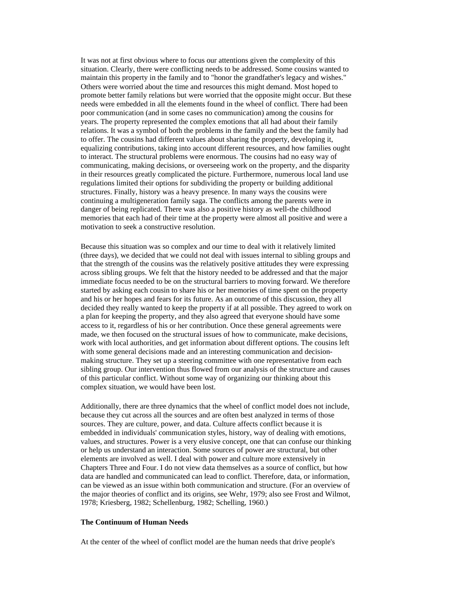It was not at first obvious where to focus our attentions given the complexity of this situation. Clearly, there were conflicting needs to be addressed. Some cousins wanted to maintain this property in the family and to "honor the grandfather's legacy and wishes." Others were worried about the time and resources this might demand. Most hoped to promote better family relations but were worried that the opposite might occur. But these needs were embedded in all the elements found in the wheel of conflict. There had been poor communication (and in some cases no communication) among the cousins for years. The property represented the complex emotions that all had about their family relations. It was a symbol of both the problems in the family and the best the family had to offer. The cousins had different values about sharing the property, developing it, equalizing contributions, taking into account different resources, and how families ought to interact. The structural problems were enormous. The cousins had no easy way of communicating, making decisions, or overseeing work on the property, and the disparity in their resources greatly complicated the picture. Furthermore, numerous local land use regulations limited their options for subdividing the property or building additional structures. Finally, history was a heavy presence. In many ways the cousins were continuing a multigeneration family saga. The conflicts among the parents were in danger of being replicated. There was also a positive history as well-the childhood memories that each had of their time at the property were almost all positive and were a motivation to seek a constructive resolution.

Because this situation was so complex and our time to deal with it relatively limited (three days), we decided that we could not deal with issues internal to sibling groups and that the strength of the cousins was the relatively positive attitudes they were expressing across sibling groups. We felt that the history needed to be addressed and that the major immediate focus needed to be on the structural barriers to moving forward. We therefore started by asking each cousin to share his or her memories of time spent on the property and his or her hopes and fears for its future. As an outcome of this discussion, they all decided they really wanted to keep the property if at all possible. They agreed to work on a plan for keeping the property, and they also agreed that everyone should have some access to it, regardless of his or her contribution. Once these general agreements were made, we then focused on the structural issues of how to communicate, make decisions, work with local authorities, and get information about different options. The cousins left with some general decisions made and an interesting communication and decisionmaking structure. They set up a steering committee with one representative from each sibling group. Our intervention thus flowed from our analysis of the structure and causes of this particular conflict. Without some way of organizing our thinking about this complex situation, we would have been lost.

Additionally, there are three dynamics that the wheel of conflict model does not include, because they cut across all the sources and are often best analyzed in terms of those sources. They are culture, power, and data. Culture affects conflict because it is embedded in individuals' communication styles, history, way of dealing with emotions, values, and structures. Power is a very elusive concept, one that can confuse our thinking or help us understand an interaction. Some sources of power are structural, but other elements are involved as well. I deal with power and culture more extensively in Chapters Three and Four. I do not view data themselves as a source of conflict, but how data are handled and communicated can lead to conflict. Therefore, data, or information, can be viewed as an issue within both communication and structure. (For an overview of the major theories of conflict and its origins, see Wehr, 1979; also see Frost and Wilmot, 1978; Kriesberg, 1982; Schellenburg, 1982; Schelling, 1960.)

# **The Continuum of Human Needs**

At the center of the wheel of conflict model are the human needs that drive people's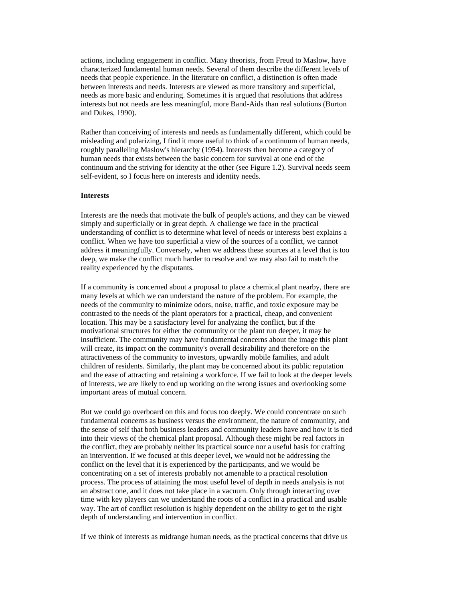actions, including engagement in conflict. Many theorists, from Freud to Maslow, have characterized fundamental human needs. Several of them describe the different levels of needs that people experience. In the literature on conflict, a distinction is often made between interests and needs. Interests are viewed as more transitory and superficial, needs as more basic and enduring. Sometimes it is argued that resolutions that address interests but not needs are less meaningful, more Band-Aids than real solutions (Burton and Dukes, 1990).

Rather than conceiving of interests and needs as fundamentally different, which could be misleading and polarizing, I find it more useful to think of a continuum of human needs, roughly paralleling Maslow's hierarchy (1954). Interests then become a category of human needs that exists between the basic concern for survival at one end of the continuum and the striving for identity at the other (see Figure 1.2). Survival needs seem self-evident, so I focus here on interests and identity needs.

#### **Interests**

Interests are the needs that motivate the bulk of people's actions, and they can be viewed simply and superficially or in great depth. A challenge we face in the practical understanding of conflict is to determine what level of needs or interests best explains a conflict. When we have too superficial a view of the sources of a conflict, we cannot address it meaningfully. Conversely, when we address these sources at a level that is too deep, we make the conflict much harder to resolve and we may also fail to match the reality experienced by the disputants.

If a community is concerned about a proposal to place a chemical plant nearby, there are many levels at which we can understand the nature of the problem. For example, the needs of the community to minimize odors, noise, traffic, and toxic exposure may be contrasted to the needs of the plant operators for a practical, cheap, and convenient location. This may be a satisfactory level for analyzing the conflict, but if the motivational structures for either the community or the plant run deeper, it may be insufficient. The community may have fundamental concerns about the image this plant will create, its impact on the community's overall desirability and therefore on the attractiveness of the community to investors, upwardly mobile families, and adult children of residents. Similarly, the plant may be concerned about its public reputation and the ease of attracting and retaining a workforce. If we fail to look at the deeper levels of interests, we are likely to end up working on the wrong issues and overlooking some important areas of mutual concern.

But we could go overboard on this and focus too deeply. We could concentrate on such fundamental concerns as business versus the environment, the nature of community, and the sense of self that both business leaders and community leaders have and how it is tied into their views of the chemical plant proposal. Although these might be real factors in the conflict, they are probably neither its practical source nor a useful basis for crafting an intervention. If we focused at this deeper level, we would not be addressing the conflict on the level that it is experienced by the participants, and we would be concentrating on a set of interests probably not amenable to a practical resolution process. The process of attaining the most useful level of depth in needs analysis is not an abstract one, and it does not take place in a vacuum. Only through interacting over time with key players can we understand the roots of a conflict in a practical and usable way. The art of conflict resolution is highly dependent on the ability to get to the right depth of understanding and intervention in conflict.

If we think of interests as midrange human needs, as the practical concerns that drive us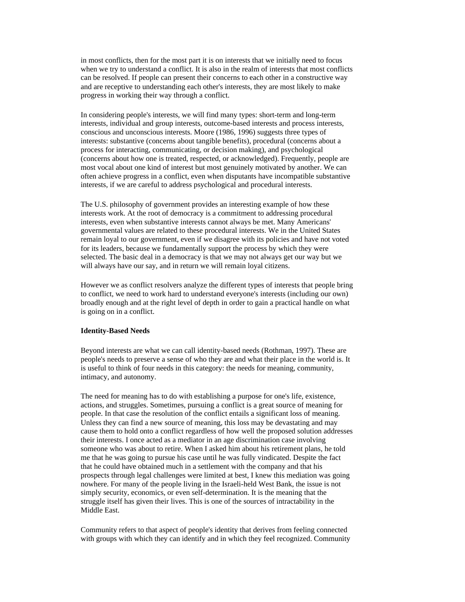in most conflicts, then for the most part it is on interests that we initially need to focus when we try to understand a conflict. It is also in the realm of interests that most conflicts can be resolved. If people can present their concerns to each other in a constructive way and are receptive to understanding each other's interests, they are most likely to make progress in working their way through a conflict.

In considering people's interests, we will find many types: short-term and long-term interests, individual and group interests, outcome-based interests and process interests, conscious and unconscious interests. Moore (1986, 1996) suggests three types of interests: substantive (concerns about tangible benefits), procedural (concerns about a process for interacting, communicating, or decision making), and psychological (concerns about how one is treated, respected, or acknowledged). Frequently, people are most vocal about one kind of interest but most genuinely motivated by another. We can often achieve progress in a conflict, even when disputants have incompatible substantive interests, if we are careful to address psychological and procedural interests.

The U.S. philosophy of government provides an interesting example of how these interests work. At the root of democracy is a commitment to addressing procedural interests, even when substantive interests cannot always be met. Many Americans' governmental values are related to these procedural interests. We in the United States remain loyal to our government, even if we disagree with its policies and have not voted for its leaders, because we fundamentally support the process by which they were selected. The basic deal in a democracy is that we may not always get our way but we will always have our say, and in return we will remain loyal citizens.

However we as conflict resolvers analyze the different types of interests that people bring to conflict, we need to work hard to understand everyone's interests (including our own) broadly enough and at the right level of depth in order to gain a practical handle on what is going on in a conflict.

#### **Identity-Based Needs**

Beyond interests are what we can call identity-based needs (Rothman, 1997). These are people's needs to preserve a sense of who they are and what their place in the world is. It is useful to think of four needs in this category: the needs for meaning, community, intimacy, and autonomy.

The need for meaning has to do with establishing a purpose for one's life, existence, actions, and struggles. Sometimes, pursuing a conflict is a great source of meaning for people. In that case the resolution of the conflict entails a significant loss of meaning. Unless they can find a new source of meaning, this loss may be devastating and may cause them to hold onto a conflict regardless of how well the proposed solution addresses their interests. I once acted as a mediator in an age discrimination case involving someone who was about to retire. When I asked him about his retirement plans, he told me that he was going to pursue his case until he was fully vindicated. Despite the fact that he could have obtained much in a settlement with the company and that his prospects through legal challenges were limited at best, I knew this mediation was going nowhere. For many of the people living in the Israeli-held West Bank, the issue is not simply security, economics, or even self-determination. It is the meaning that the struggle itself has given their lives. This is one of the sources of intractability in the Middle East.

Community refers to that aspect of people's identity that derives from feeling connected with groups with which they can identify and in which they feel recognized. Community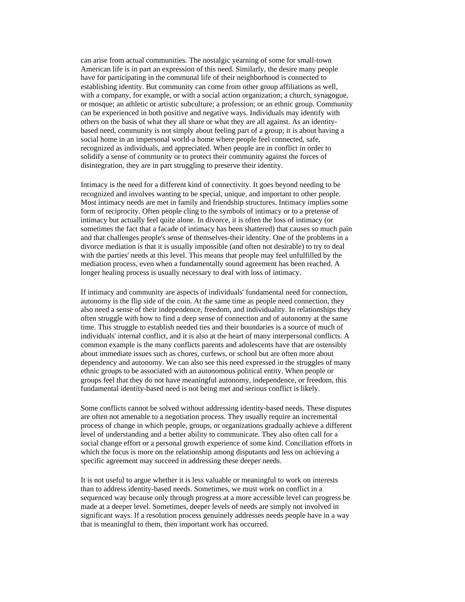can arise from actual communities. The nostalgic yearning of some for small-town American life is in part an expression of this need. Similarly, the desire many people have for participating in the communal life of their neighborhood is connected to establishing identity. But community can come from other group affiliations as well, with a company, for example, or with a social action organization; a church, synagogue, or mosque; an athletic or artistic subculture; a profession; or an ethnic group. Community can be experienced in both positive and negative ways. Individuals may identify with others on the basis of what they all share or what they are all against. As an identitybased need, community is not simply about feeling part of a group; it is about having a social home in an impersonal world-a home where people feel connected, safe, recognized as individuals, and appreciated. When people are in conflict in order to solidify a sense of community or to protect their community against the forces of disintegration, they are in part struggling to preserve their identity.

Intimacy is the need for a different kind of connectivity. It goes beyond needing to be recognized and involves wanting to be special, unique, and important to other people. Most intimacy needs are met in family and friendship structures. Intimacy implies some form of reciprocity. Often people cling to the symbols of intimacy or to a pretense of intimacy but actually feel quite alone. In divorce, it is often the loss of intimacy (or sometimes the fact that a facade of intimacy has been shattered) that causes so much pain and that challenges people's sense of themselves-their identity. One of the problems in a divorce mediation is that it is usually impossible (and often not desirable) to try to deal with the parties' needs at this level. This means that people may feel unfulfilled by the mediation process, even when a fundamentally sound agreement has been reached. A longer healing process is usually necessary to deal with loss of intimacy.

If intimacy and community are aspects of individuals' fundamental need for connection, autonomy is the flip side of the coin. At the same time as people need connection, they also need a sense of their independence, freedom, and individuality. In relationships they often struggle with how to find a deep sense of connection and of autonomy at the same time. This struggle to establish needed ties and their boundaries is a source of much of individuals' internal conflict, and it is also at the heart of many interpersonal conflicts. A common example is the many conflicts parents and adolescents have that are ostensibly about immediate issues such as chores, curfews, or school but are often more about dependency and autonomy. We can also see this need expressed in the struggles of many ethnic groups to be associated with an autonomous political entity. When people or groups feel that they do not have meaningful autonomy, independence, or freedom, this fundamental identity-based need is not being met and serious conflict is likely.

Some conflicts cannot be solved without addressing identity-based needs. These disputes are often not amenable to a negotiation process. They usually require an incremental process of change in which people, groups, or organizations gradually achieve a different level of understanding and a better ability to communicate. They also often call for a social change effort or a personal growth experience of some kind. Conciliation efforts in which the focus is more on the relationship among disputants and less on achieving a specific agreement may succeed in addressing these deeper needs.

It is not useful to argue whether it is less valuable or meaningful to work on interests than to address identity-based needs. Sometimes, we must work on conflict in a sequenced way because only through progress at a more accessible level can progress be made at a deeper level. Sometimes, deeper levels of needs are simply not involved in significant ways. If a resolution process genuinely addresses needs people have in a way that is meaningful to them, then important work has occurred.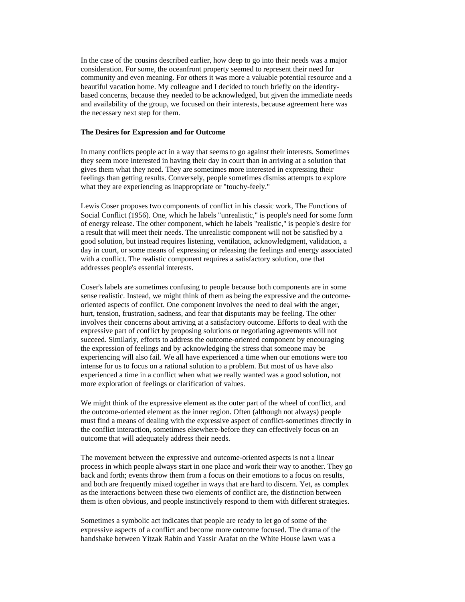In the case of the cousins described earlier, how deep to go into their needs was a major consideration. For some, the oceanfront property seemed to represent their need for community and even meaning. For others it was more a valuable potential resource and a beautiful vacation home. My colleague and I decided to touch briefly on the identitybased concerns, because they needed to be acknowledged, but given the immediate needs and availability of the group, we focused on their interests, because agreement here was the necessary next step for them.

#### **The Desires for Expression and for Outcome**

In many conflicts people act in a way that seems to go against their interests. Sometimes they seem more interested in having their day in court than in arriving at a solution that gives them what they need. They are sometimes more interested in expressing their feelings than getting results. Conversely, people sometimes dismiss attempts to explore what they are experiencing as inappropriate or "touchy-feely."

Lewis Coser proposes two components of conflict in his classic work, The Functions of Social Conflict (1956). One, which he labels "unrealistic," is people's need for some form of energy release. The other component, which he labels "realistic," is people's desire for a result that will meet their needs. The unrealistic component will not be satisfied by a good solution, but instead requires listening, ventilation, acknowledgment, validation, a day in court, or some means of expressing or releasing the feelings and energy associated with a conflict. The realistic component requires a satisfactory solution, one that addresses people's essential interests.

Coser's labels are sometimes confusing to people because both components are in some sense realistic. Instead, we might think of them as being the expressive and the outcomeoriented aspects of conflict. One component involves the need to deal with the anger, hurt, tension, frustration, sadness, and fear that disputants may be feeling. The other involves their concerns about arriving at a satisfactory outcome. Efforts to deal with the expressive part of conflict by proposing solutions or negotiating agreements will not succeed. Similarly, efforts to address the outcome-oriented component by encouraging the expression of feelings and by acknowledging the stress that someone may be experiencing will also fail. We all have experienced a time when our emotions were too intense for us to focus on a rational solution to a problem. But most of us have also experienced a time in a conflict when what we really wanted was a good solution, not more exploration of feelings or clarification of values.

We might think of the expressive element as the outer part of the wheel of conflict, and the outcome-oriented element as the inner region. Often (although not always) people must find a means of dealing with the expressive aspect of conflict-sometimes directly in the conflict interaction, sometimes elsewhere-before they can effectively focus on an outcome that will adequately address their needs.

The movement between the expressive and outcome-oriented aspects is not a linear process in which people always start in one place and work their way to another. They go back and forth; events throw them from a focus on their emotions to a focus on results, and both are frequently mixed together in ways that are hard to discern. Yet, as complex as the interactions between these two elements of conflict are, the distinction between them is often obvious, and people instinctively respond to them with different strategies.

Sometimes a symbolic act indicates that people are ready to let go of some of the expressive aspects of a conflict and become more outcome focused. The drama of the handshake between Yitzak Rabin and Yassir Arafat on the White House lawn was a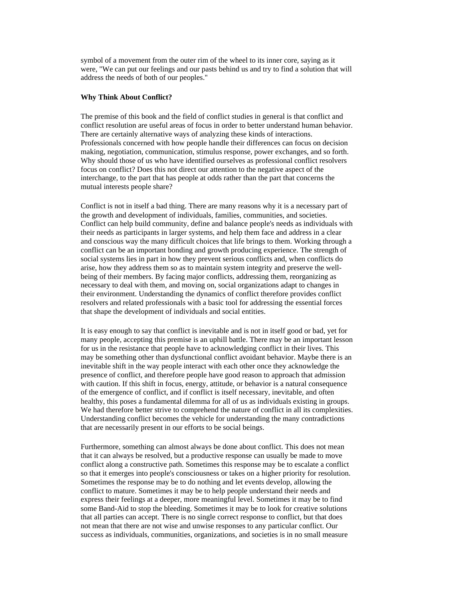symbol of a movement from the outer rim of the wheel to its inner core, saying as it were, "We can put our feelings and our pasts behind us and try to find a solution that will address the needs of both of our peoples."

### **Why Think About Conflict?**

The premise of this book and the field of conflict studies in general is that conflict and conflict resolution are useful areas of focus in order to better understand human behavior. There are certainly alternative ways of analyzing these kinds of interactions. Professionals concerned with how people handle their differences can focus on decision making, negotiation, communication, stimulus response, power exchanges, and so forth. Why should those of us who have identified ourselves as professional conflict resolvers focus on conflict? Does this not direct our attention to the negative aspect of the interchange, to the part that has people at odds rather than the part that concerns the mutual interests people share?

Conflict is not in itself a bad thing. There are many reasons why it is a necessary part of the growth and development of individuals, families, communities, and societies. Conflict can help build community, define and balance people's needs as individuals with their needs as participants in larger systems, and help them face and address in a clear and conscious way the many difficult choices that life brings to them. Working through a conflict can be an important bonding and growth producing experience. The strength of social systems lies in part in how they prevent serious conflicts and, when conflicts do arise, how they address them so as to maintain system integrity and preserve the wellbeing of their members. By facing major conflicts, addressing them, reorganizing as necessary to deal with them, and moving on, social organizations adapt to changes in their environment. Understanding the dynamics of conflict therefore provides conflict resolvers and related professionals with a basic tool for addressing the essential forces that shape the development of individuals and social entities.

It is easy enough to say that conflict is inevitable and is not in itself good or bad, yet for many people, accepting this premise is an uphill battle. There may be an important lesson for us in the resistance that people have to acknowledging conflict in their lives. This may be something other than dysfunctional conflict avoidant behavior. Maybe there is an inevitable shift in the way people interact with each other once they acknowledge the presence of conflict, and therefore people have good reason to approach that admission with caution. If this shift in focus, energy, attitude, or behavior is a natural consequence of the emergence of conflict, and if conflict is itself necessary, inevitable, and often healthy, this poses a fundamental dilemma for all of us as individuals existing in groups. We had therefore better strive to comprehend the nature of conflict in all its complexities. Understanding conflict becomes the vehicle for understanding the many contradictions that are necessarily present in our efforts to be social beings.

Furthermore, something can almost always be done about conflict. This does not mean that it can always be resolved, but a productive response can usually be made to move conflict along a constructive path. Sometimes this response may be to escalate a conflict so that it emerges into people's consciousness or takes on a higher priority for resolution. Sometimes the response may be to do nothing and let events develop, allowing the conflict to mature. Sometimes it may be to help people understand their needs and express their feelings at a deeper, more meaningful level. Sometimes it may be to find some Band-Aid to stop the bleeding. Sometimes it may be to look for creative solutions that all parties can accept. There is no single correct response to conflict, but that does not mean that there are not wise and unwise responses to any particular conflict. Our success as individuals, communities, organizations, and societies is in no small measure